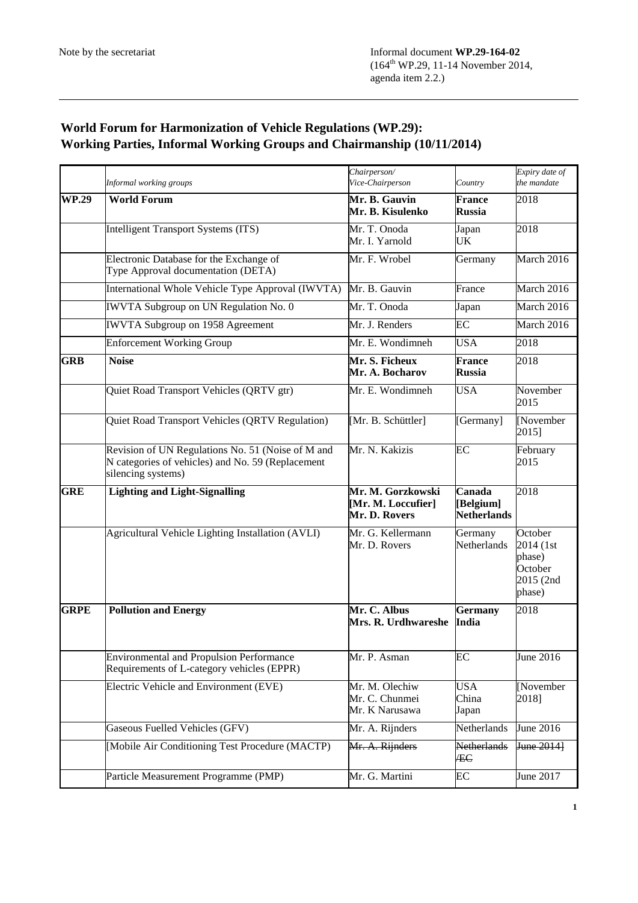## **World Forum for Harmonization of Vehicle Regulations (WP.29): Working Parties, Informal Working Groups and Chairmanship (10/11/2014)**

|              | Informal working groups                                                                                                      | Chairperson/<br>Vice-Chairperson                         | Country                                   | Expiry date of<br>the mandate                                    |
|--------------|------------------------------------------------------------------------------------------------------------------------------|----------------------------------------------------------|-------------------------------------------|------------------------------------------------------------------|
| <b>WP.29</b> | <b>World Forum</b>                                                                                                           | Mr. B. Gauvin<br>Mr. B. Kisulenko                        | <b>France</b><br><b>Russia</b>            | 2018                                                             |
|              | <b>Intelligent Transport Systems (ITS)</b>                                                                                   | Mr. T. Onoda<br>Mr. I. Yarnold                           | Japan<br>UK                               | 2018                                                             |
|              | Electronic Database for the Exchange of<br>Type Approval documentation (DETA)                                                | Mr. F. Wrobel                                            | Germany                                   | March 2016                                                       |
|              | International Whole Vehicle Type Approval (IWVTA)                                                                            | Mr. B. Gauvin                                            | France                                    | March 2016                                                       |
|              | <b>IWVTA Subgroup on UN Regulation No. 0</b>                                                                                 | Mr. T. Onoda                                             | Japan                                     | March 2016                                                       |
|              | <b>IWVTA Subgroup on 1958 Agreement</b>                                                                                      | Mr. J. Renders                                           | EC                                        | March 2016                                                       |
|              | <b>Enforcement Working Group</b>                                                                                             | Mr. E. Wondimneh                                         | <b>USA</b>                                | 2018                                                             |
| <b>GRB</b>   | <b>Noise</b>                                                                                                                 | Mr. S. Ficheux<br>Mr. A. Bocharov                        | France<br><b>Russia</b>                   | 2018                                                             |
|              | Quiet Road Transport Vehicles (QRTV gtr)                                                                                     | Mr. E. Wondimneh                                         | <b>USA</b>                                | November<br>2015                                                 |
|              | Quiet Road Transport Vehicles (QRTV Regulation)                                                                              | [Mr. B. Schüttler]                                       | [Germany]                                 | November<br>2015]                                                |
|              | Revision of UN Regulations No. 51 (Noise of M and<br>N categories of vehicles) and No. 59 (Replacement<br>silencing systems) | Mr. N. Kakizis                                           | EC                                        | February<br>2015                                                 |
| <b>GRE</b>   | <b>Lighting and Light-Signalling</b>                                                                                         | Mr. M. Gorzkowski<br>[Mr. M. Loccufier]<br>Mr. D. Rovers | Canada<br>[Belgium]<br><b>Netherlands</b> | 2018                                                             |
|              | Agricultural Vehicle Lighting Installation (AVLI)                                                                            | Mr. G. Kellermann<br>Mr. D. Rovers                       | Germany<br>Netherlands                    | October<br>2014 (1st<br>phase)<br>October<br>2015 (2nd<br>phase) |
| <b>GRPE</b>  | <b>Pollution and Energy</b>                                                                                                  | Mr. C. Albus<br>Mrs. R. Urdhwareshe                      | <b>Germany</b><br><b>India</b>            | 2018                                                             |
|              | <b>Environmental and Propulsion Performance</b><br>Requirements of L-category vehicles (EPPR)                                | Mr. P. Asman                                             | EC                                        | June 2016                                                        |
|              | Electric Vehicle and Environment (EVE)                                                                                       | Mr. M. Olechiw<br>Mr. C. Chunmei<br>Mr. K Narusawa       | <b>USA</b><br>China<br>Japan              | [November<br>2018]                                               |
|              | Gaseous Fuelled Vehicles (GFV)                                                                                               | Mr. A. Rijnders                                          | Netherlands                               | June 2016                                                        |
|              | [Mobile Air Conditioning Test Procedure (MACTP)                                                                              | Mr. A. Rijnders                                          | Netherlands<br>ÆC                         | June 2014]                                                       |
|              | Particle Measurement Programme (PMP)                                                                                         | Mr. G. Martini                                           | EC                                        | $\overline{\text{June}}$ 2017                                    |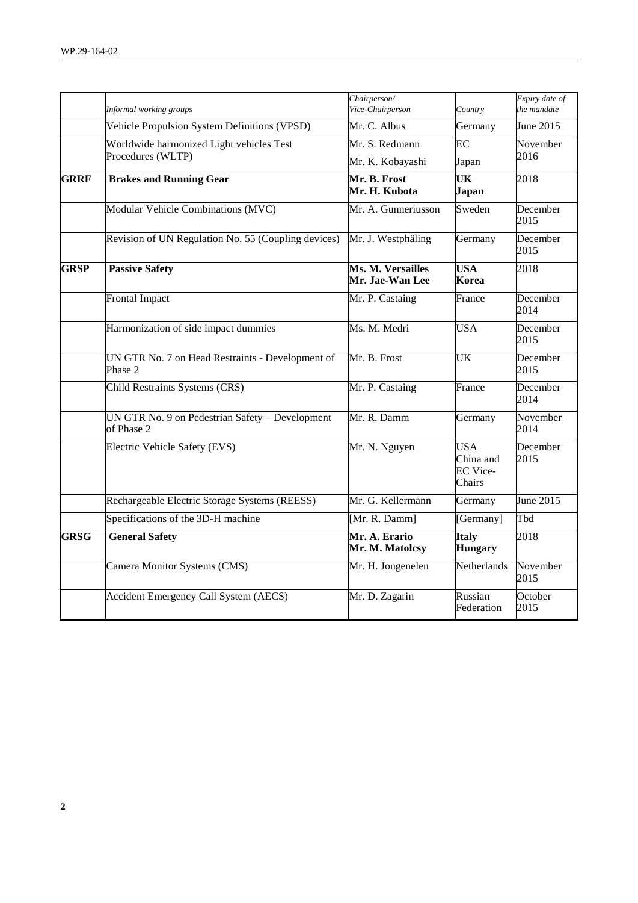|             |                                                               | Chairperson/                         |                                                      | Expiry date of   |
|-------------|---------------------------------------------------------------|--------------------------------------|------------------------------------------------------|------------------|
|             | Informal working groups                                       | Vice-Chairperson                     | Country                                              | the mandate      |
|             | Vehicle Propulsion System Definitions (VPSD)                  | Mr. C. Albus                         | Germany                                              | June 2015        |
|             | Worldwide harmonized Light vehicles Test                      | Mr. S. Redmann                       | EC                                                   | November         |
|             | Procedures (WLTP)                                             | Mr. K. Kobayashi                     | Japan                                                | 2016             |
| <b>GRRF</b> | <b>Brakes and Running Gear</b>                                | Mr. B. Frost<br>Mr. H. Kubota        | UK<br>Japan                                          | 2018             |
|             | Modular Vehicle Combinations (MVC)                            | Mr. A. Gunneriusson                  | Sweden                                               | December<br>2015 |
|             | Revision of UN Regulation No. 55 (Coupling devices)           | Mr. J. Westphäling                   | Germany                                              | December<br>2015 |
| <b>GRSP</b> | <b>Passive Safety</b>                                         | Ms. M. Versailles<br>Mr. Jae-Wan Lee | <b>USA</b><br>Korea                                  | 2018             |
|             | <b>Frontal Impact</b>                                         | Mr. P. Castaing                      | France                                               | December<br>2014 |
|             | Harmonization of side impact dummies                          | Ms. M. Medri                         | <b>USA</b>                                           | December<br>2015 |
|             | UN GTR No. 7 on Head Restraints - Development of<br>Phase 2   | Mr. B. Frost                         | $\overline{\text{UK}}$                               | December<br>2015 |
|             | Child Restraints Systems (CRS)                                | Mr. P. Castaing                      | France                                               | December<br>2014 |
|             | UN GTR No. 9 on Pedestrian Safety - Development<br>of Phase 2 | Mr. R. Damm                          | Germany                                              | November<br>2014 |
|             | Electric Vehicle Safety (EVS)                                 | Mr. N. Nguyen                        | <b>USA</b><br>China and<br><b>EC</b> Vice-<br>Chairs | December<br>2015 |
|             | Rechargeable Electric Storage Systems (REESS)                 | Mr. G. Kellermann                    | Germany                                              | June $2015$      |
|             | Specifications of the 3D-H machine                            | [Mr. R. Damm]                        | [Germany]                                            | Tbd              |
| <b>GRSG</b> | <b>General Safety</b>                                         | Mr. A. Erario<br>Mr. M. Matolcsy     | <b>Italy</b><br><b>Hungary</b>                       | 2018             |
|             | Camera Monitor Systems (CMS)                                  | Mr. H. Jongenelen                    | Netherlands                                          | November<br>2015 |
|             | <b>Accident Emergency Call System (AECS)</b>                  | Mr. D. Zagarin                       | Russian<br>Federation                                | October<br>2015  |